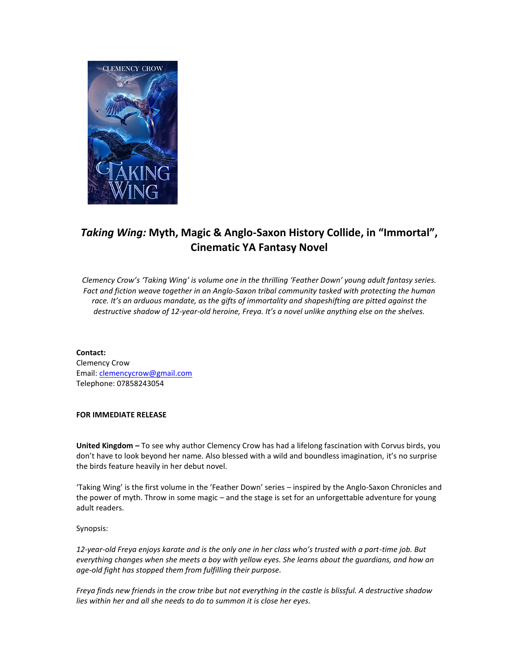

## *Taking Wing:* **Myth, Magic & Anglo-Saxon History Collide, in "Immortal", Cinematic YA Fantasy Novel**

*Clemency Crow's 'Taking Wing' is volume one in the thrilling 'Feather Down' young adult fantasy series. Fact and fiction weave together in an Anglo-Saxon tribal community tasked with protecting the human race. It's an arduous mandate, as the gifts of immortality and shapeshifting are pitted against the destructive shadow of 12-year-old heroine, Freya. It's a novel unlike anything else on the shelves.*

## **Contact:**

Clemency Crow Email: [clemencycrow@gmail.com](mailto:clemencycrow@gmail.com) Telephone: 07858243054

## **FOR IMMEDIATE RELEASE**

**United Kingdom –** To see why author Clemency Crow has had a lifelong fascination with Corvus birds, you don't have to look beyond her name. Also blessed with a wild and boundless imagination, it's no surprise the birds feature heavily in her debut novel.

'Taking Wing' is the first volume in the 'Feather Down' series – inspired by the Anglo-Saxon Chronicles and the power of myth. Throw in some magic – and the stage is set for an unforgettable adventure for young adult readers.

Synopsis:

*12-year-old Freya enjoys karate and is the only one in her class who's trusted with a part-time job. But everything changes when she meets a boy with yellow eyes. She learns about the guardians, and how an age-old fight has stopped them from fulfilling their purpose.*

*Freya finds new friends in the crow tribe but not everything in the castle is blissful. A destructive shadow lies within her and all she needs to do to summon it is close her eyes.*